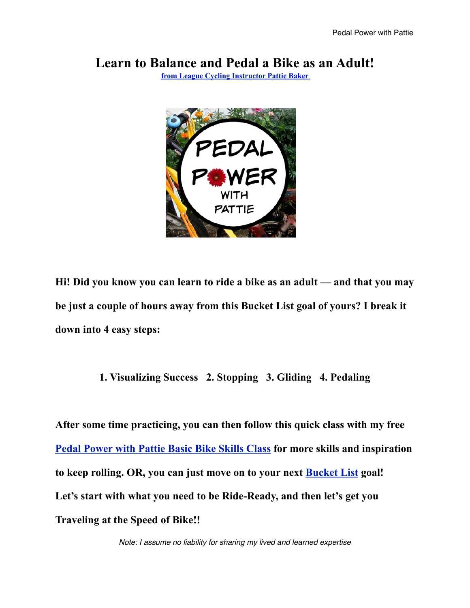### **Learn to Balance and Pedal a Bike as an Adult!**

**[from League Cycling Instructor Pattie Baker](https://travelingatthespeedofbike.com/about-me/)** 



**Hi! Did you know you can learn to ride a bike as an adult — and that you may be just a couple of hours away from this Bucket List goal of yours? I break it down into 4 easy steps:** 

#### **1. Visualizing Success 2. Stopping 3. Gliding 4. Pedaling**

**After some time practicing, you can then follow this quick class with my free [Pedal Power with Pattie Basic Bike Skills Class](https://travelingatthespeedofbike.com/2020/06/14/free-bike-class-now-via-pdf-as-well-as-text/) for more skills and inspiration to keep rolling. OR, you can just move on to your next [Bucket List](https://www.amazon.com/gp/product/B00TM7ASZE/ref=dbs_a_def_rwt_hsch_vapi_taft_p1_i2) goal! Let's start with what you need to be Ride-Ready, and then let's get you Traveling at the Speed of Bike!!**

*Note: I assume no liability for sharing my lived and learned expertise*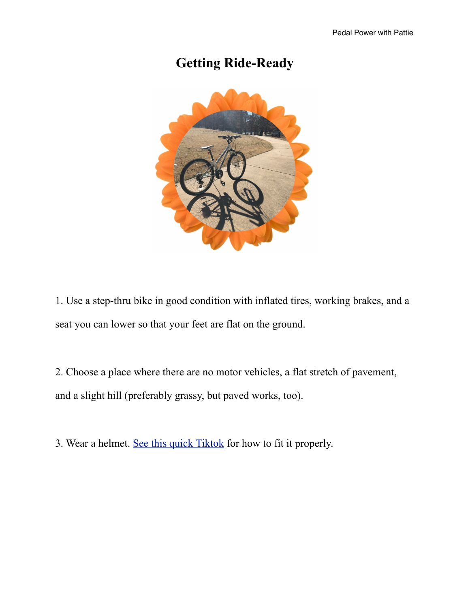# **Getting Ride-Ready**



1. Use a step-thru bike in good condition with inflated tires, working brakes, and a seat you can lower so that your feet are flat on the ground.

2. Choose a place where there are no motor vehicles, a flat stretch of pavement, and a slight hill (preferably grassy, but paved works, too).

3. Wear a helmet. [See this quick Tiktok](https://www.tiktok.com/@pedalpowerwithpattie/video/6925929055137156357?lang=en) for how to fit it properly.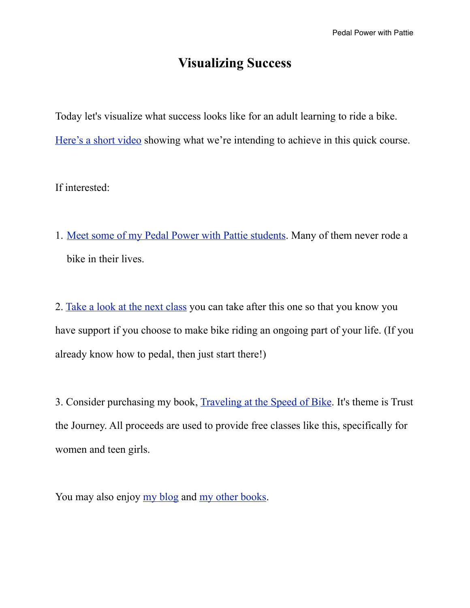# **Visualizing Success**

Today let's visualize what success looks like for an adult learning to ride a bike. [Here's a short video](https://videos.files.wordpress.com/x3mAGWwC/joined_video_a5f0d8196a594e7fbf6ec39a6be3fcf4_mp4_dvd.mp4) showing what we're intending to achieve in this quick course.

#### If interested:

1. [Meet some of my Pedal Power with Pattie students](https://travelingatthespeedofbike.com/2021/04/12/meet-kaysha/). Many of them never rode a bike in their lives.

2. [Take a look at the next class](https://travelingatthespeedofbike.com/power/) you can take after this one so that you know you have support if you choose to make bike riding an ongoing part of your life. (If you already know how to pedal, then just start there!)

3. Consider purchasing my book, [Traveling at the Speed of Bike](https://travelingatthespeedofbike.com/book/). It's theme is Trust the Journey. All proceeds are used to provide free classes like this, specifically for women and teen girls.

You may also enjoy [my blog](https://travelingatthespeedofbike.com) and [my other books](https://www.amazon.com/kindle-dbs/entity/author/B005JBN7ZK?_encoding=UTF8&node=283155&offset=0&pageSize=12&searchAlias=stripbooks&sort=author-sidecar-rank&page=1&langFilter=default%23formatSelectorHeader).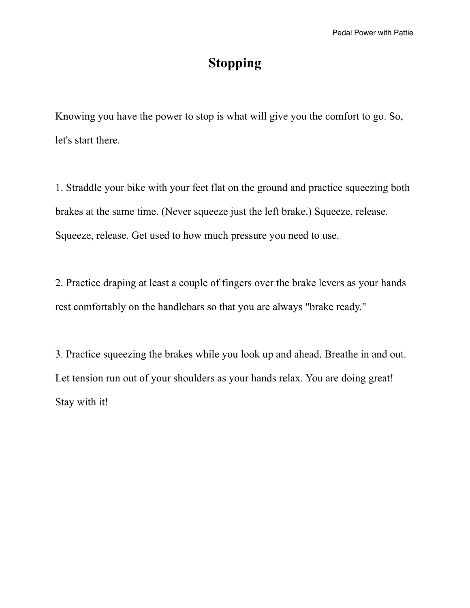## **Stopping**

Knowing you have the power to stop is what will give you the comfort to go. So, let's start there.

1. Straddle your bike with your feet flat on the ground and practice squeezing both brakes at the same time. (Never squeeze just the left brake.) Squeeze, release. Squeeze, release. Get used to how much pressure you need to use.

2. Practice draping at least a couple of fingers over the brake levers as your hands rest comfortably on the handlebars so that you are always "brake ready."

3. Practice squeezing the brakes while you look up and ahead. Breathe in and out. Let tension run out of your shoulders as your hands relax. You are doing great! Stay with it!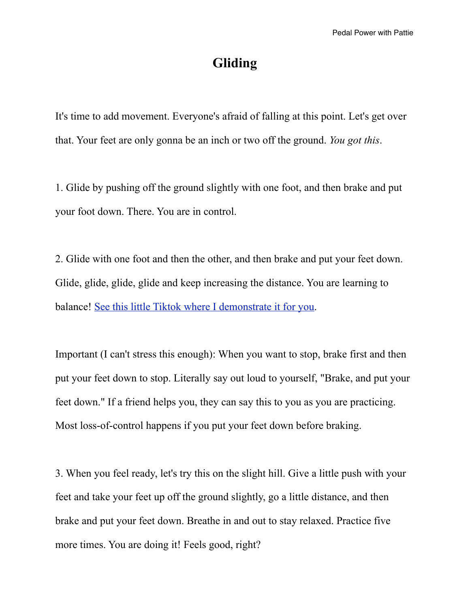### **Gliding**

It's time to add movement. Everyone's afraid of falling at this point. Let's get over that. Your feet are only gonna be an inch or two off the ground. *You got this*.

1. Glide by pushing off the ground slightly with one foot, and then brake and put your foot down. There. You are in control.

2. Glide with one foot and then the other, and then brake and put your feet down. Glide, glide, glide, glide and keep increasing the distance. You are learning to balance! [See this little Tiktok where I demonstrate it for you](https://www.tiktok.com/@pedalpowerwithpattie/video/6927015867381320965?lang=en&is_copy_url=0&is_from_webapp=v1&sender_device=pc&sender_web_id=6914988188235335173).

Important (I can't stress this enough): When you want to stop, brake first and then put your feet down to stop. Literally say out loud to yourself, "Brake, and put your feet down." If a friend helps you, they can say this to you as you are practicing. Most loss-of-control happens if you put your feet down before braking.

3. When you feel ready, let's try this on the slight hill. Give a little push with your feet and take your feet up off the ground slightly, go a little distance, and then brake and put your feet down. Breathe in and out to stay relaxed. Practice five more times. You are doing it! Feels good, right?